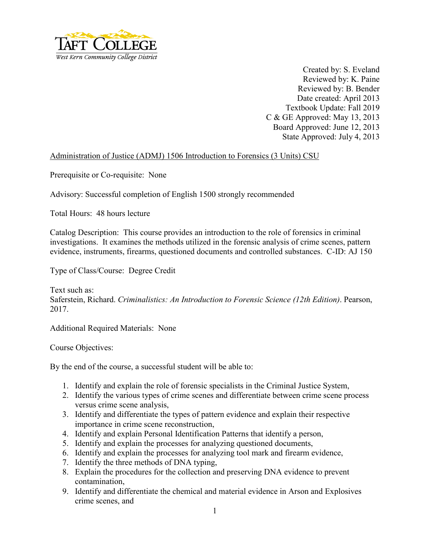

Created by: S. Eveland Reviewed by: K. Paine Reviewed by: B. Bender Date created: April 2013 Textbook Update: Fall 2019 C & GE Approved: May 13, 2013 Board Approved: June 12, 2013 State Approved: July 4, 2013

## Administration of Justice (ADMJ) 1506 Introduction to Forensics (3 Units) CSU

Prerequisite or Co-requisite: None

Advisory: Successful completion of English 1500 strongly recommended

Total Hours: 48 hours lecture

Catalog Description: This course provides an introduction to the role of forensics in criminal investigations. It examines the methods utilized in the forensic analysis of crime scenes, pattern evidence, instruments, firearms, questioned documents and controlled substances. C-ID: AJ 150

Type of Class/Course: Degree Credit

Text such as: Saferstein, Richard. *Criminalistics: An Introduction to Forensic Science (12th Edition)*. Pearson, 2017.

Additional Required Materials: None

Course Objectives:

By the end of the course, a successful student will be able to:

- 1. Identify and explain the role of forensic specialists in the Criminal Justice System,
- 2. Identify the various types of crime scenes and differentiate between crime scene process versus crime scene analysis,
- 3. Identify and differentiate the types of pattern evidence and explain their respective importance in crime scene reconstruction,
- 4. Identify and explain Personal Identification Patterns that identify a person,
- 5. Identify and explain the processes for analyzing questioned documents,
- 6. Identify and explain the processes for analyzing tool mark and firearm evidence,
- 7. Identify the three methods of DNA typing,
- 8. Explain the procedures for the collection and preserving DNA evidence to prevent contamination,
- 9. Identify and differentiate the chemical and material evidence in Arson and Explosives crime scenes, and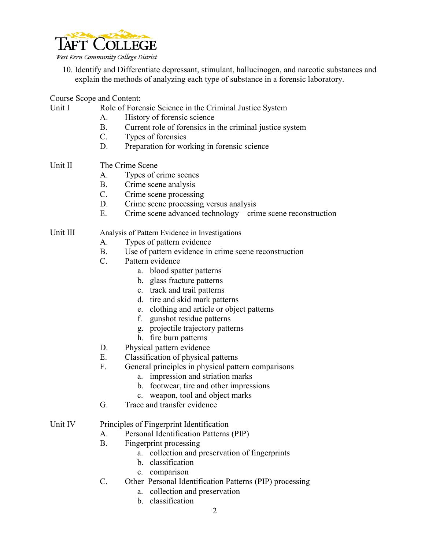

10. Identify and Differentiate depressant, stimulant, hallucinogen, and narcotic substances and explain the methods of analyzing each type of substance in a forensic laboratory.

Course Scope and Content:<br>Unit I Role of Fore

Role of Forensic Science in the Criminal Justice System

- A. History of forensic science
- B. Current role of forensics in the criminal justice system
- C. Types of forensics
- D. Preparation for working in forensic science
- Unit II The Crime Scene
	- A. Types of crime scenes
	- B. Crime scene analysis
	- C. Crime scene processing
	- D. Crime scene processing versus analysis
	- E. Crime scene advanced technology crime scene reconstruction

## Unit III Analysis of Pattern Evidence in Investigations

- A. Types of pattern evidence
- B. Use of pattern evidence in crime scene reconstruction
- C. Pattern evidence
	- a. blood spatter patterns
	- b. glass fracture patterns
	- c. track and trail patterns
	- d. tire and skid mark patterns
	- e. clothing and article or object patterns
	- f. gunshot residue patterns
	- g. projectile trajectory patterns
	- h. fire burn patterns
- D. Physical pattern evidence
- E. Classification of physical patterns
- F. General principles in physical pattern comparisons
	- a. impression and striation marks
	- b. footwear, tire and other impressions
	- c. weapon, tool and object marks
- G. Trace and transfer evidence

## Unit IV Principles of Fingerprint Identification

- A. Personal Identification Patterns (PIP)
- B. Fingerprint processing
	- a. collection and preservation of fingerprints
	- b. classification
	- c. comparison
- C. Other Personal Identification Patterns (PIP) processing
	- a. collection and preservation
	- b. classification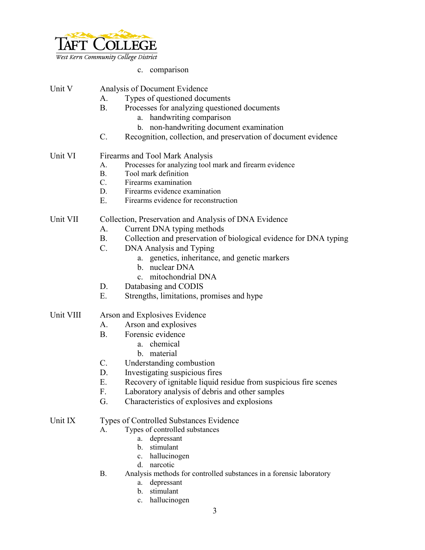

c. comparison

| Unit V    |                                                | Analysis of Document Evidence                                       |
|-----------|------------------------------------------------|---------------------------------------------------------------------|
|           | A.                                             | Types of questioned documents                                       |
|           | B <sub>r</sub>                                 | Processes for analyzing questioned documents                        |
|           |                                                | handwriting comparison<br>a.                                        |
|           |                                                | non-handwriting document examination<br>b.                          |
|           | $C_{\cdot}$                                    | Recognition, collection, and preservation of document evidence      |
| Unit VI   | Firearms and Tool Mark Analysis                |                                                                     |
|           | A.                                             | Processes for analyzing tool mark and firearm evidence              |
|           | $B_{\cdot}$                                    | Tool mark definition                                                |
|           | C.                                             | Firearms examination                                                |
|           | D.                                             | Firearms evidence examination                                       |
|           | E.                                             | Firearms evidence for reconstruction                                |
| Unit VII  |                                                | Collection, Preservation and Analysis of DNA Evidence               |
|           | A.                                             | Current DNA typing methods                                          |
|           | <b>B</b> .                                     | Collection and preservation of biological evidence for DNA typing   |
|           | $C_{\cdot}$                                    | DNA Analysis and Typing                                             |
|           |                                                | a. genetics, inheritance, and genetic markers                       |
|           |                                                | b. nuclear DNA                                                      |
|           |                                                | mitochondrial DNA<br>$c_{-}$                                        |
|           | D.                                             | Databasing and CODIS                                                |
|           | E.                                             | Strengths, limitations, promises and hype                           |
| Unit VIII | Arson and Explosives Evidence                  |                                                                     |
|           | A.                                             | Arson and explosives                                                |
|           | <b>B.</b>                                      | Forensic evidence                                                   |
|           |                                                | chemical<br>a.                                                      |
|           |                                                | b. material                                                         |
|           | $C_{\cdot}$                                    | Understanding combustion                                            |
|           | D.                                             | Investigating suspicious fires                                      |
|           | Ε.                                             | Recovery of ignitable liquid residue from suspicious fire scenes    |
|           | F.                                             | Laboratory analysis of debris and other samples                     |
|           | G.                                             | Characteristics of explosives and explosions                        |
| Unit IX   | <b>Types of Controlled Substances Evidence</b> |                                                                     |
|           | А.                                             | Types of controlled substances                                      |
|           |                                                | depressant<br>a.                                                    |
|           |                                                | stimulant<br>$\mathbf{b}$ .                                         |
|           |                                                | hallucinogen<br>c.                                                  |
|           |                                                | narcotic<br>$d_{-}$                                                 |
|           | <b>B.</b>                                      | Analysis methods for controlled substances in a forensic laboratory |
|           |                                                | depressant<br>a.                                                    |
|           |                                                | stimulant<br>$b_{\cdot}$                                            |
|           |                                                | hallucinogen<br>$\mathbf{c}$ .                                      |